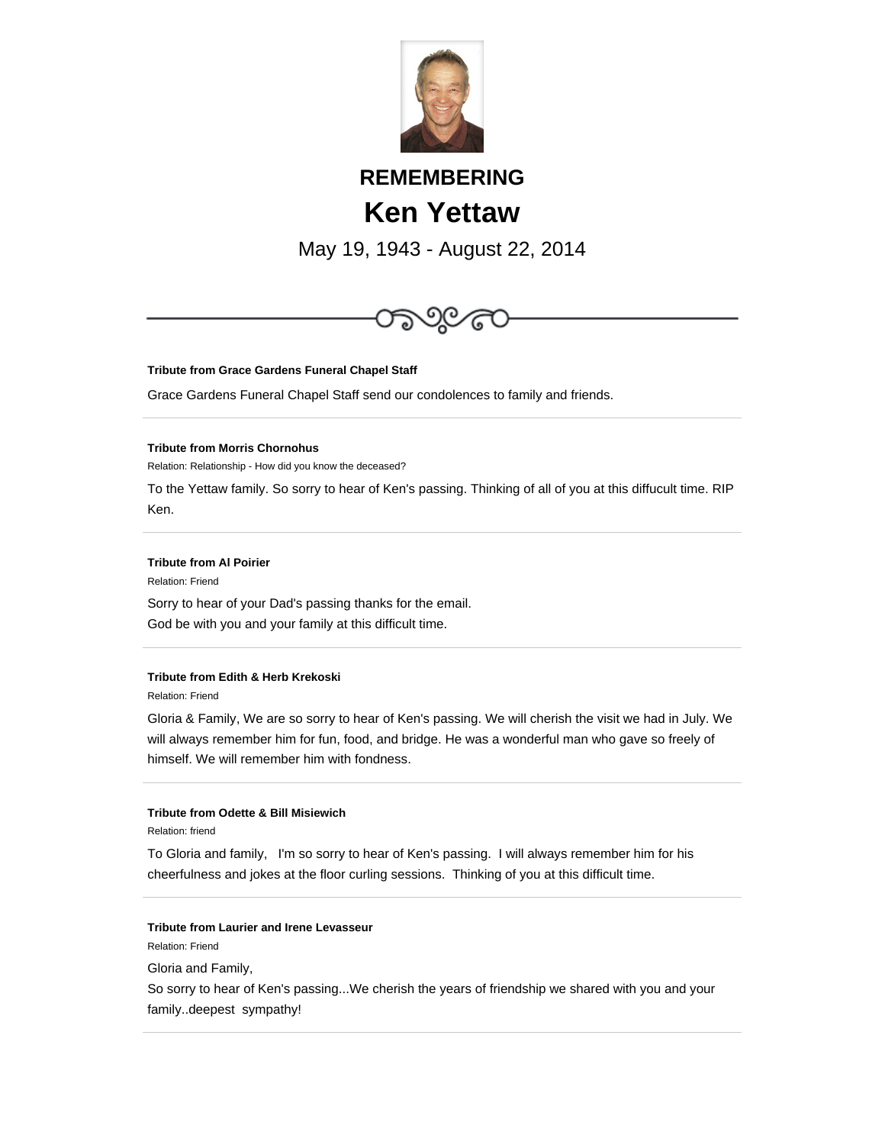

# **REMEMBERING Ken Yettaw**

May 19, 1943 - August 22, 2014



## **Tribute from Grace Gardens Funeral Chapel Staff**

Grace Gardens Funeral Chapel Staff send our condolences to family and friends.

## **Tribute from Morris Chornohus**

Relation: Relationship - How did you know the deceased?

To the Yettaw family. So sorry to hear of Ken's passing. Thinking of all of you at this diffucult time. RIP Ken.

## **Tribute from Al Poirier**

Relation: Friend

Sorry to hear of your Dad's passing thanks for the email. God be with you and your family at this difficult time.

## **Tribute from Edith & Herb Krekoski**

Relation: Friend

Gloria & Family, We are so sorry to hear of Ken's passing. We will cherish the visit we had in July. We will always remember him for fun, food, and bridge. He was a wonderful man who gave so freely of himself. We will remember him with fondness.

## **Tribute from Odette & Bill Misiewich**

Relation: friend

To Gloria and family, I'm so sorry to hear of Ken's passing. I will always remember him for his cheerfulness and jokes at the floor curling sessions. Thinking of you at this difficult time.

#### **Tribute from Laurier and Irene Levasseur**

Relation: Friend

Gloria and Family,

So sorry to hear of Ken's passing...We cherish the years of friendship we shared with you and your family..deepest sympathy!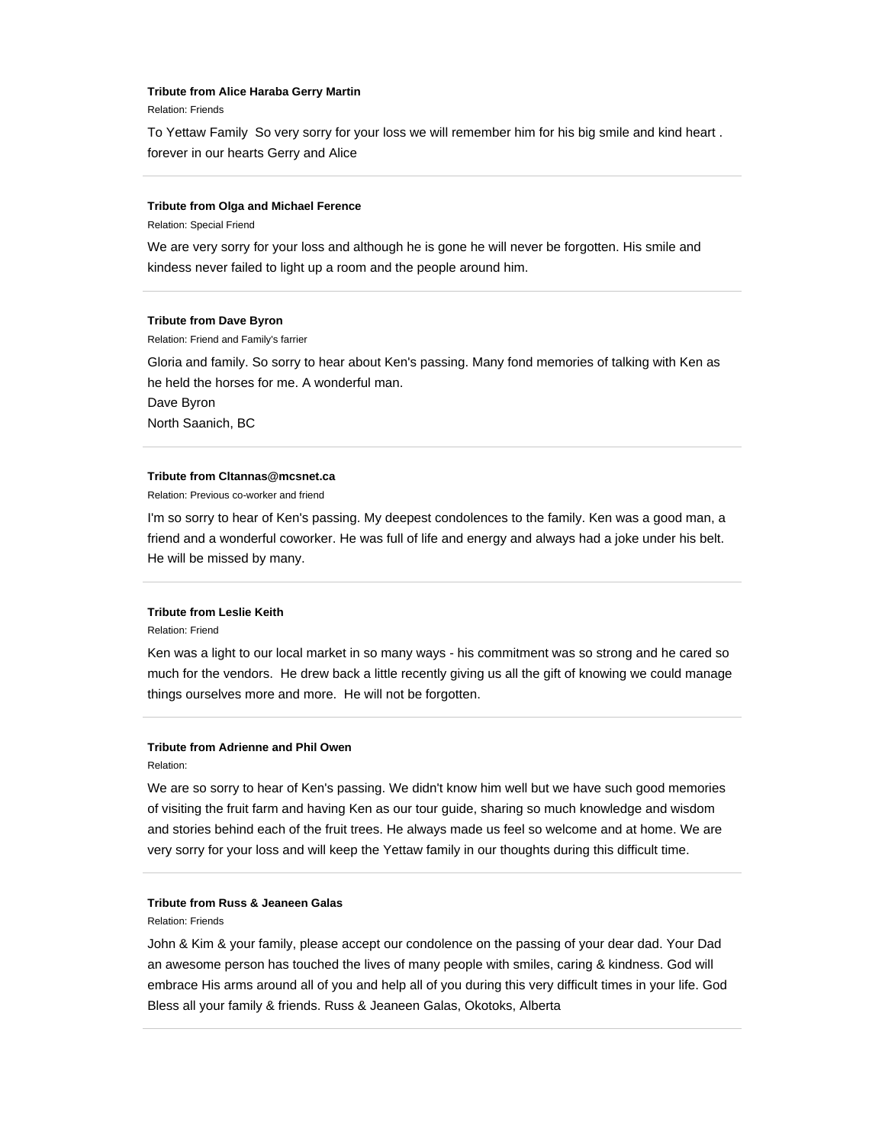#### **Tribute from Alice Haraba Gerry Martin**

Relation: Friends

To Yettaw Family So very sorry for your loss we will remember him for his big smile and kind heart . forever in our hearts Gerry and Alice

#### **Tribute from Olga and Michael Ference**

Relation: Special Friend

We are very sorry for your loss and although he is gone he will never be forgotten. His smile and kindess never failed to light up a room and the people around him.

## **Tribute from Dave Byron**

Relation: Friend and Family's farrier

Gloria and family. So sorry to hear about Ken's passing. Many fond memories of talking with Ken as he held the horses for me. A wonderful man.

Dave Byron

North Saanich, BC

#### **Tribute from Cltannas@mcsnet.ca**

Relation: Previous co-worker and friend

I'm so sorry to hear of Ken's passing. My deepest condolences to the family. Ken was a good man, a friend and a wonderful coworker. He was full of life and energy and always had a joke under his belt. He will be missed by many.

## **Tribute from Leslie Keith**

Relation: Friend

Ken was a light to our local market in so many ways - his commitment was so strong and he cared so much for the vendors. He drew back a little recently giving us all the gift of knowing we could manage things ourselves more and more. He will not be forgotten.

## **Tribute from Adrienne and Phil Owen**

Relation:

We are so sorry to hear of Ken's passing. We didn't know him well but we have such good memories of visiting the fruit farm and having Ken as our tour guide, sharing so much knowledge and wisdom and stories behind each of the fruit trees. He always made us feel so welcome and at home. We are very sorry for your loss and will keep the Yettaw family in our thoughts during this difficult time.

## **Tribute from Russ & Jeaneen Galas**

Relation: Friends

John & Kim & your family, please accept our condolence on the passing of your dear dad. Your Dad an awesome person has touched the lives of many people with smiles, caring & kindness. God will embrace His arms around all of you and help all of you during this very difficult times in your life. God Bless all your family & friends. Russ & Jeaneen Galas, Okotoks, Alberta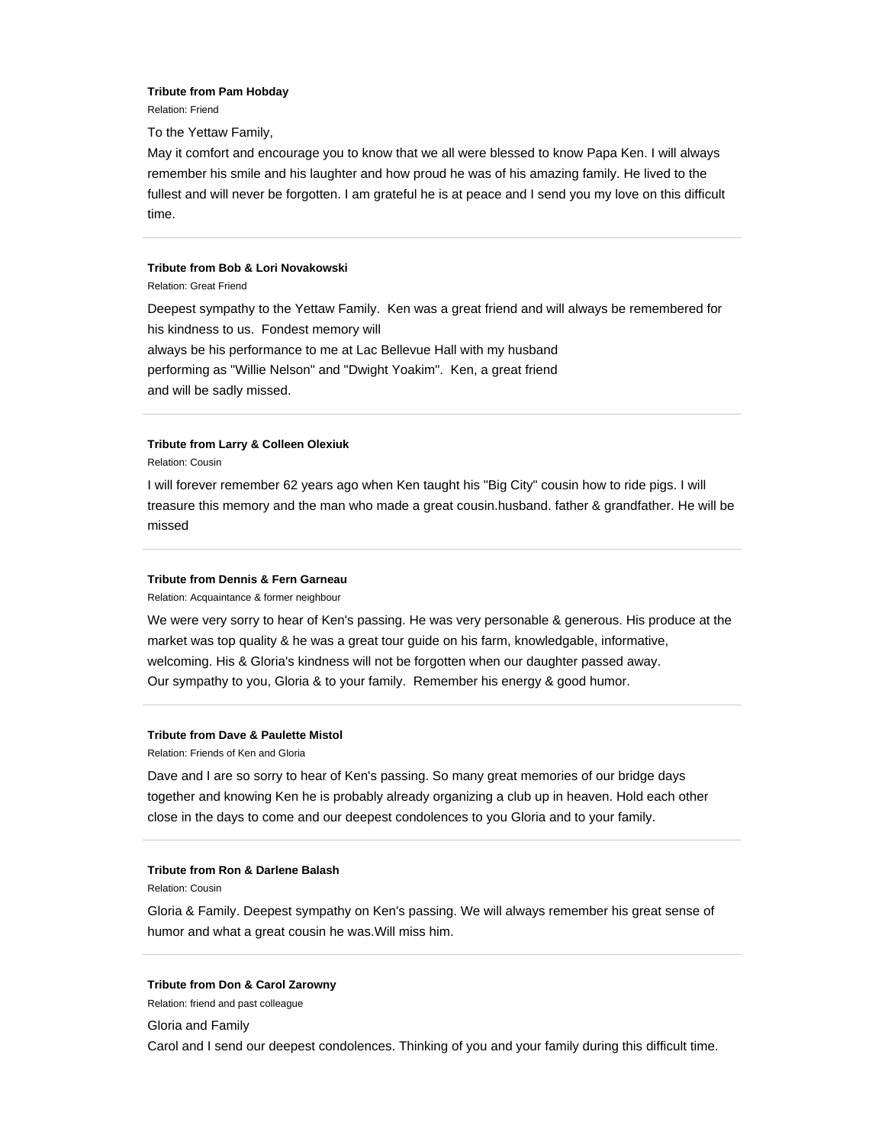#### **Tribute from Pam Hobday**

Relation: Friend

To the Yettaw Family,

May it comfort and encourage you to know that we all were blessed to know Papa Ken. I will always remember his smile and his laughter and how proud he was of his amazing family. He lived to the fullest and will never be forgotten. I am grateful he is at peace and I send you my love on this difficult time.

#### **Tribute from Bob & Lori Novakowski**

Relation: Great Friend

Deepest sympathy to the Yettaw Family. Ken was a great friend and will always be remembered for his kindness to us. Fondest memory will always be his performance to me at Lac Bellevue Hall with my husband performing as "Willie Nelson" and "Dwight Yoakim". Ken, a great friend and will be sadly missed.

## **Tribute from Larry & Colleen Olexiuk**

Relation: Cousin

I will forever remember 62 years ago when Ken taught his "Big City" cousin how to ride pigs. I will treasure this memory and the man who made a great cousin.husband. father & grandfather. He will be missed

#### **Tribute from Dennis & Fern Garneau**

Relation: Acquaintance & former neighbour

We were very sorry to hear of Ken's passing. He was very personable & generous. His produce at the market was top quality & he was a great tour guide on his farm, knowledgable, informative, welcoming. His & Gloria's kindness will not be forgotten when our daughter passed away. Our sympathy to you, Gloria & to your family. Remember his energy & good humor.

#### **Tribute from Dave & Paulette Mistol**

Relation: Friends of Ken and Gloria

Dave and I are so sorry to hear of Ken's passing. So many great memories of our bridge days together and knowing Ken he is probably already organizing a club up in heaven. Hold each other close in the days to come and our deepest condolences to you Gloria and to your family.

#### **Tribute from Ron & Darlene Balash**

Relation: Cousin

Gloria & Family. Deepest sympathy on Ken's passing. We will always remember his great sense of humor and what a great cousin he was.Will miss him.

## **Tribute from Don & Carol Zarowny**

Relation: friend and past colleague

Gloria and Family

Carol and I send our deepest condolences. Thinking of you and your family during this difficult time.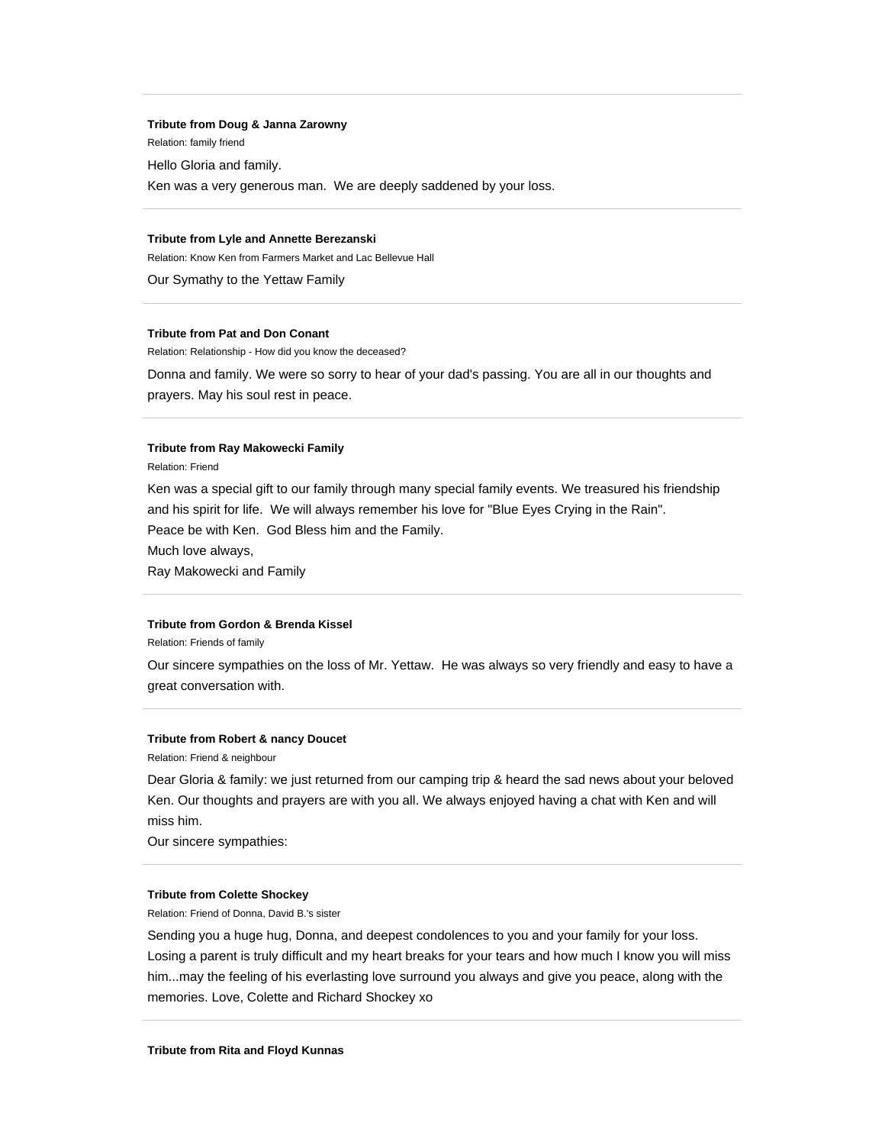#### **Tribute from Doug & Janna Zarowny**

Relation: family friend

Hello Gloria and family.

Ken was a very generous man. We are deeply saddened by your loss.

## **Tribute from Lyle and Annette Berezanski**

Relation: Know Ken from Farmers Market and Lac Bellevue Hall

Our Symathy to the Yettaw Family

## **Tribute from Pat and Don Conant**

Relation: Relationship - How did you know the deceased?

Donna and family. We were so sorry to hear of your dad's passing. You are all in our thoughts and prayers. May his soul rest in peace.

## **Tribute from Ray Makowecki Family**

Relation: Friend

Ken was a special gift to our family through many special family events. We treasured his friendship and his spirit for life. We will always remember his love for "Blue Eyes Crying in the Rain". Peace be with Ken. God Bless him and the Family.

Much love always,

Ray Makowecki and Family

## **Tribute from Gordon & Brenda Kissel**

Relation: Friends of family

Our sincere sympathies on the loss of Mr. Yettaw. He was always so very friendly and easy to have a great conversation with.

### **Tribute from Robert & nancy Doucet**

Relation: Friend & neighbour

Dear Gloria & family: we just returned from our camping trip & heard the sad news about your beloved Ken. Our thoughts and prayers are with you all. We always enjoyed having a chat with Ken and will miss him.

Our sincere sympathies:

#### **Tribute from Colette Shockey**

Relation: Friend of Donna, David B.'s sister

Sending you a huge hug, Donna, and deepest condolences to you and your family for your loss. Losing a parent is truly difficult and my heart breaks for your tears and how much I know you will miss him...may the feeling of his everlasting love surround you always and give you peace, along with the memories. Love, Colette and Richard Shockey xo